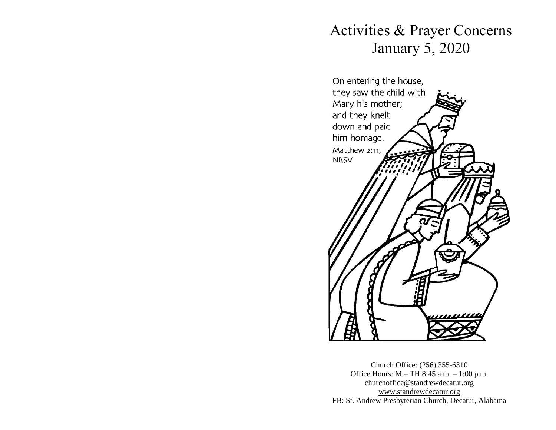# Activities & Prayer Concerns January 5, 2020



Church Office: (256) 355-6310 Office Hours: M – TH 8:45 a.m. – 1:00 p.m. churchoffice@standrewdecatur.org [www.standrewdecatur.](http://www.standrewdecatur/)org FB: St. Andrew Presbyterian Church, Decatur, Alabama